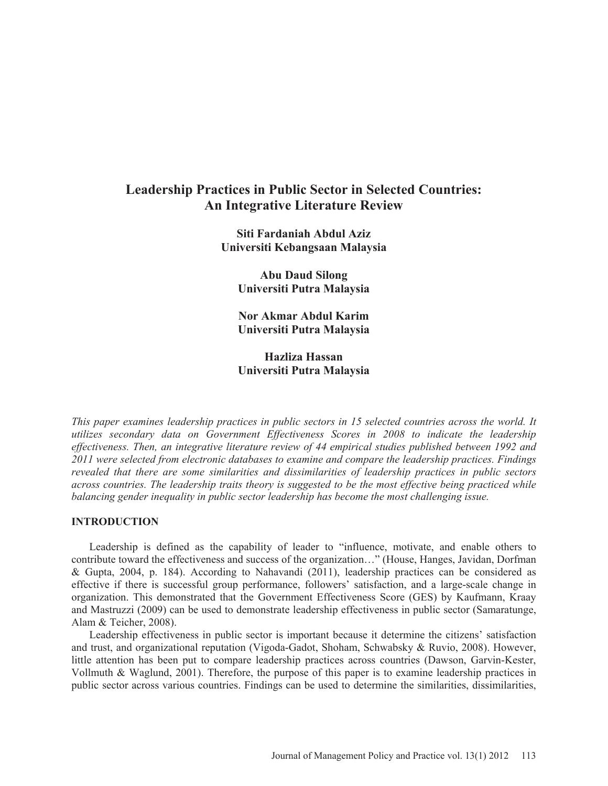# **Leadership Practices in Public Sector in Selected Countries: An Integrative Literature Review**

**Siti Fardaniah Abdul Aziz Universiti Kebangsaan Malaysia** 

> **Abu Daud Silong Universiti Putra Malaysia**

> **Nor Akmar Abdul Karim Universiti Putra Malaysia**

> **Hazliza Hassan Universiti Putra Malaysia**

*This paper examines leadership practices in public sectors in 15 selected countries across the world. It utilizes secondary data on Government Effectiveness Scores in 2008 to indicate the leadership effectiveness. Then, an integrative literature review of 44 empirical studies published between 1992 and 2011 were selected from electronic databases to examine and compare the leadership practices. Findings revealed that there are some similarities and dissimilarities of leadership practices in public sectors across countries. The leadership traits theory is suggested to be the most effective being practiced while balancing gender inequality in public sector leadership has become the most challenging issue.* 

#### **INTRODUCTION**

Leadership is defined as the capability of leader to "influence, motivate, and enable others to contribute toward the effectiveness and success of the organization…" (House, Hanges, Javidan, Dorfman & Gupta, 2004, p. 184). According to Nahavandi (2011), leadership practices can be considered as effective if there is successful group performance, followers' satisfaction, and a large-scale change in organization. This demonstrated that the Government Effectiveness Score (GES) by Kaufmann, Kraay and Mastruzzi (2009) can be used to demonstrate leadership effectiveness in public sector (Samaratunge, Alam & Teicher, 2008).

Leadership effectiveness in public sector is important because it determine the citizens' satisfaction and trust, and organizational reputation (Vigoda-Gadot, Shoham, Schwabsky & Ruvio, 2008). However, little attention has been put to compare leadership practices across countries (Dawson, Garvin-Kester, Vollmuth & Waglund, 2001). Therefore, the purpose of this paper is to examine leadership practices in public sector across various countries. Findings can be used to determine the similarities, dissimilarities,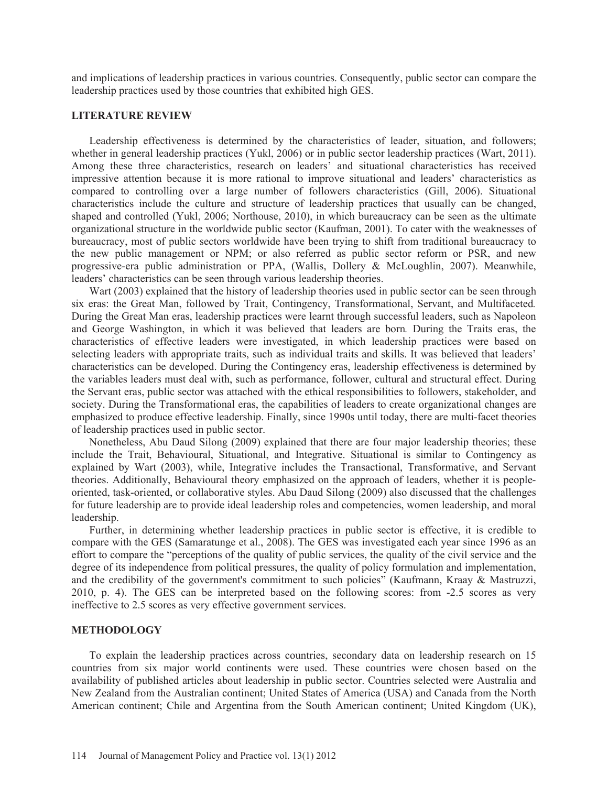and implications of leadership practices in various countries. Consequently, public sector can compare the leadership practices used by those countries that exhibited high GES.

#### **LITERATURE REVIEW**

Leadership effectiveness is determined by the characteristics of leader, situation, and followers; whether in general leadership practices (Yukl, 2006) or in public sector leadership practices (Wart, 2011). Among these three characteristics, research on leaders' and situational characteristics has received impressive attention because it is more rational to improve situational and leaders' characteristics as compared to controlling over a large number of followers characteristics (Gill, 2006). Situational characteristics include the culture and structure of leadership practices that usually can be changed, shaped and controlled (Yukl, 2006; Northouse, 2010), in which bureaucracy can be seen as the ultimate organizational structure in the worldwide public sector (Kaufman, 2001). To cater with the weaknesses of bureaucracy, most of public sectors worldwide have been trying to shift from traditional bureaucracy to the new public management or NPM; or also referred as public sector reform or PSR, and new progressive-era public administration or PPA, (Wallis, Dollery & McLoughlin, 2007). Meanwhile, leaders' characteristics can be seen through various leadership theories.

Wart (2003) explained that the history of leadership theories used in public sector can be seen through six eras: the Great Man, followed by Trait, Contingency, Transformational, Servant, and Multifaceted*.*  During the Great Man eras, leadership practices were learnt through successful leaders, such as Napoleon and George Washington, in which it was believed that leaders are born*.* During the Traits eras, the characteristics of effective leaders were investigated, in which leadership practices were based on selecting leaders with appropriate traits, such as individual traits and skills. It was believed that leaders' characteristics can be developed. During the Contingency eras, leadership effectiveness is determined by the variables leaders must deal with, such as performance, follower, cultural and structural effect. During the Servant eras, public sector was attached with the ethical responsibilities to followers, stakeholder, and society. During the Transformational eras, the capabilities of leaders to create organizational changes are emphasized to produce effective leadership. Finally, since 1990s until today, there are multi-facet theories of leadership practices used in public sector.

Nonetheless, Abu Daud Silong (2009) explained that there are four major leadership theories; these include the Trait, Behavioural, Situational, and Integrative. Situational is similar to Contingency as explained by Wart (2003), while, Integrative includes the Transactional, Transformative, and Servant theories. Additionally, Behavioural theory emphasized on the approach of leaders, whether it is peopleoriented, task-oriented, or collaborative styles. Abu Daud Silong (2009) also discussed that the challenges for future leadership are to provide ideal leadership roles and competencies, women leadership, and moral leadership.

Further, in determining whether leadership practices in public sector is effective, it is credible to compare with the GES (Samaratunge et al., 2008). The GES was investigated each year since 1996 as an effort to compare the "perceptions of the quality of public services, the quality of the civil service and the degree of its independence from political pressures, the quality of policy formulation and implementation, and the credibility of the government's commitment to such policies" (Kaufmann, Kraay & Mastruzzi, 2010, p. 4). The GES can be interpreted based on the following scores: from -2.5 scores as very ineffective to 2.5 scores as very effective government services.

#### **METHODOLOGY**

To explain the leadership practices across countries, secondary data on leadership research on 15 countries from six major world continents were used. These countries were chosen based on the availability of published articles about leadership in public sector. Countries selected were Australia and New Zealand from the Australian continent; United States of America (USA) and Canada from the North American continent; Chile and Argentina from the South American continent; United Kingdom (UK),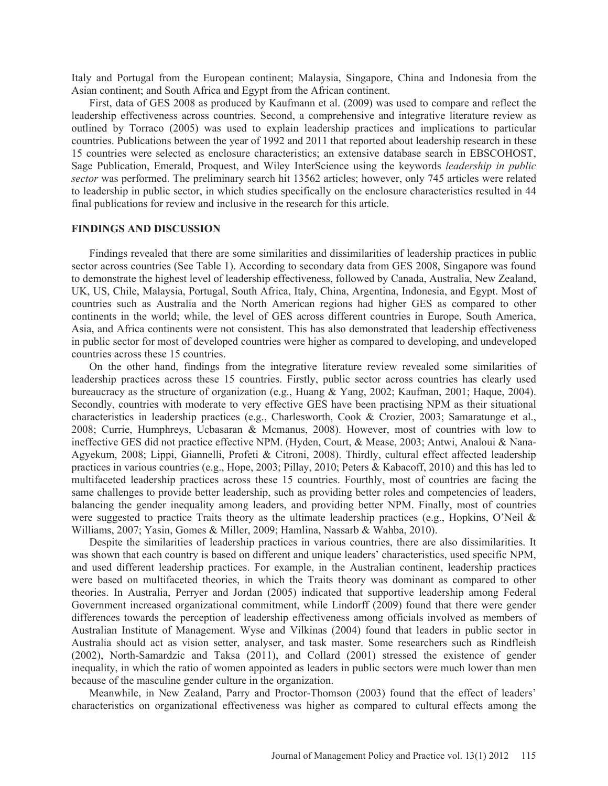Italy and Portugal from the European continent; Malaysia, Singapore, China and Indonesia from the Asian continent; and South Africa and Egypt from the African continent.

First, data of GES 2008 as produced by Kaufmann et al. (2009) was used to compare and reflect the leadership effectiveness across countries. Second, a comprehensive and integrative literature review as outlined by Torraco (2005) was used to explain leadership practices and implications to particular countries. Publications between the year of 1992 and 2011 that reported about leadership research in these 15 countries were selected as enclosure characteristics; an extensive database search in EBSCOHOST, Sage Publication, Emerald, Proquest, and Wiley InterScience using the keywords *leadership in public sector* was performed. The preliminary search hit 13562 articles; however, only 745 articles were related to leadership in public sector, in which studies specifically on the enclosure characteristics resulted in 44 final publications for review and inclusive in the research for this article.

#### **FINDINGS AND DISCUSSION**

Findings revealed that there are some similarities and dissimilarities of leadership practices in public sector across countries (See Table 1). According to secondary data from GES 2008, Singapore was found to demonstrate the highest level of leadership effectiveness, followed by Canada, Australia, New Zealand, UK, US, Chile, Malaysia, Portugal, South Africa, Italy, China, Argentina, Indonesia, and Egypt. Most of countries such as Australia and the North American regions had higher GES as compared to other continents in the world; while, the level of GES across different countries in Europe, South America, Asia, and Africa continents were not consistent. This has also demonstrated that leadership effectiveness in public sector for most of developed countries were higher as compared to developing, and undeveloped countries across these 15 countries.

On the other hand, findings from the integrative literature review revealed some similarities of leadership practices across these 15 countries. Firstly, public sector across countries has clearly used bureaucracy as the structure of organization (e.g., Huang & Yang, 2002; Kaufman, 2001; Haque, 2004). Secondly, countries with moderate to very effective GES have been practising NPM as their situational characteristics in leadership practices (e.g., Charlesworth, Cook & Crozier, 2003; Samaratunge et al., 2008; Currie, Humphreys, Ucbasaran & Mcmanus, 2008). However, most of countries with low to ineffective GES did not practice effective NPM. (Hyden, Court, & Mease, 2003; Antwi, Analoui & Nana-Agyekum, 2008; Lippi, Giannelli, Profeti & Citroni, 2008). Thirdly, cultural effect affected leadership practices in various countries (e.g., Hope, 2003; Pillay, 2010; Peters & Kabacoff, 2010) and this has led to multifaceted leadership practices across these 15 countries. Fourthly, most of countries are facing the same challenges to provide better leadership, such as providing better roles and competencies of leaders, balancing the gender inequality among leaders, and providing better NPM. Finally, most of countries were suggested to practice Traits theory as the ultimate leadership practices (e.g., Hopkins, O'Neil & Williams, 2007; Yasin, Gomes & Miller, 2009; Hamlina, Nassarb & Wahba, 2010).

Despite the similarities of leadership practices in various countries, there are also dissimilarities. It was shown that each country is based on different and unique leaders' characteristics, used specific NPM, and used different leadership practices. For example, in the Australian continent, leadership practices were based on multifaceted theories, in which the Traits theory was dominant as compared to other theories. In Australia, Perryer and Jordan (2005) indicated that supportive leadership among Federal Government increased organizational commitment, while Lindorff (2009) found that there were gender differences towards the perception of leadership effectiveness among officials involved as members of Australian Institute of Management. Wyse and Vilkinas (2004) found that leaders in public sector in Australia should act as vision setter, analyser, and task master. Some researchers such as Rindfleish (2002), North-Samardzic and Taksa (2011), and Collard (2001) stressed the existence of gender inequality, in which the ratio of women appointed as leaders in public sectors were much lower than men because of the masculine gender culture in the organization.

Meanwhile, in New Zealand, Parry and Proctor-Thomson (2003) found that the effect of leaders' characteristics on organizational effectiveness was higher as compared to cultural effects among the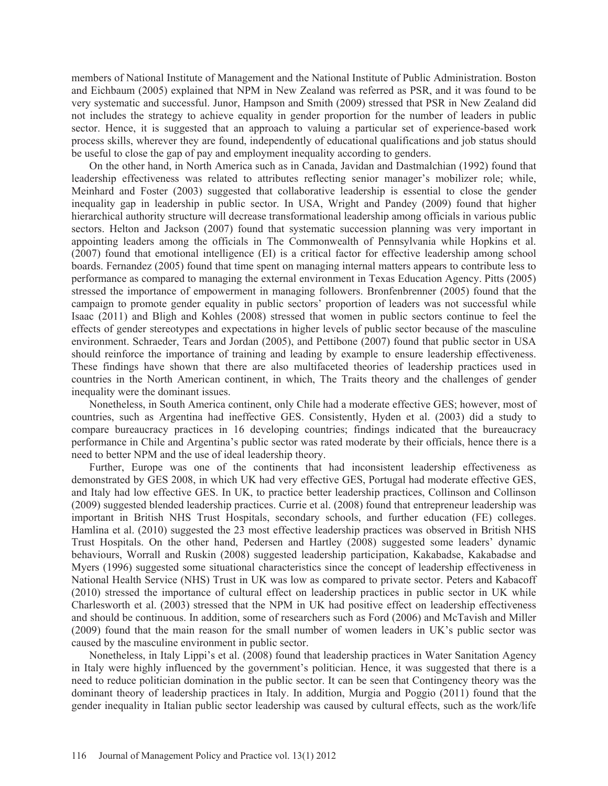members of National Institute of Management and the National Institute of Public Administration. Boston and Eichbaum (2005) explained that NPM in New Zealand was referred as PSR, and it was found to be very systematic and successful. Junor, Hampson and Smith (2009) stressed that PSR in New Zealand did not includes the strategy to achieve equality in gender proportion for the number of leaders in public sector. Hence, it is suggested that an approach to valuing a particular set of experience-based work process skills, wherever they are found, independently of educational qualifications and job status should be useful to close the gap of pay and employment inequality according to genders.

On the other hand, in North America such as in Canada, Javidan and Dastmalchian (1992) found that leadership effectiveness was related to attributes reflecting senior manager's mobilizer role; while, Meinhard and Foster (2003) suggested that collaborative leadership is essential to close the gender inequality gap in leadership in public sector. In USA, Wright and Pandey (2009) found that higher hierarchical authority structure will decrease transformational leadership among officials in various public sectors. Helton and Jackson (2007) found that systematic succession planning was very important in appointing leaders among the officials in The Commonwealth of Pennsylvania while Hopkins et al. (2007) found that emotional intelligence (EI) is a critical factor for effective leadership among school boards. Fernandez (2005) found that time spent on managing internal matters appears to contribute less to performance as compared to managing the external environment in Texas Education Agency. Pitts (2005) stressed the importance of empowerment in managing followers. Bronfenbrenner (2005) found that the campaign to promote gender equality in public sectors' proportion of leaders was not successful while Isaac (2011) and Bligh and Kohles (2008) stressed that women in public sectors continue to feel the effects of gender stereotypes and expectations in higher levels of public sector because of the masculine environment. Schraeder, Tears and Jordan (2005), and Pettibone (2007) found that public sector in USA should reinforce the importance of training and leading by example to ensure leadership effectiveness. These findings have shown that there are also multifaceted theories of leadership practices used in countries in the North American continent, in which, The Traits theory and the challenges of gender inequality were the dominant issues.

Nonetheless, in South America continent, only Chile had a moderate effective GES; however, most of countries, such as Argentina had ineffective GES. Consistently, Hyden et al. (2003) did a study to compare bureaucracy practices in 16 developing countries; findings indicated that the bureaucracy performance in Chile and Argentina's public sector was rated moderate by their officials, hence there is a need to better NPM and the use of ideal leadership theory.

Further, Europe was one of the continents that had inconsistent leadership effectiveness as demonstrated by GES 2008, in which UK had very effective GES, Portugal had moderate effective GES, and Italy had low effective GES. In UK, to practice better leadership practices, Collinson and Collinson (2009) suggested blended leadership practices. Currie et al. (2008) found that entrepreneur leadership was important in British NHS Trust Hospitals, secondary schools, and further education (FE) colleges. Hamlina et al. (2010) suggested the 23 most effective leadership practices was observed in British NHS Trust Hospitals. On the other hand, Pedersen and Hartley (2008) suggested some leaders' dynamic behaviours, Worrall and Ruskin (2008) suggested leadership participation, Kakabadse, Kakabadse and Myers (1996) suggested some situational characteristics since the concept of leadership effectiveness in National Health Service (NHS) Trust in UK was low as compared to private sector. Peters and Kabacoff (2010) stressed the importance of cultural effect on leadership practices in public sector in UK while Charlesworth et al. (2003) stressed that the NPM in UK had positive effect on leadership effectiveness and should be continuous. In addition, some of researchers such as Ford (2006) and McTavish and Miller (2009) found that the main reason for the small number of women leaders in UK's public sector was caused by the masculine environment in public sector.

Nonetheless, in Italy Lippi's et al. (2008) found that leadership practices in Water Sanitation Agency in Italy were highly influenced by the government's politician. Hence, it was suggested that there is a need to reduce politician domination in the public sector. It can be seen that Contingency theory was the dominant theory of leadership practices in Italy. In addition, Murgia and Poggio (2011) found that the gender inequality in Italian public sector leadership was caused by cultural effects, such as the work/life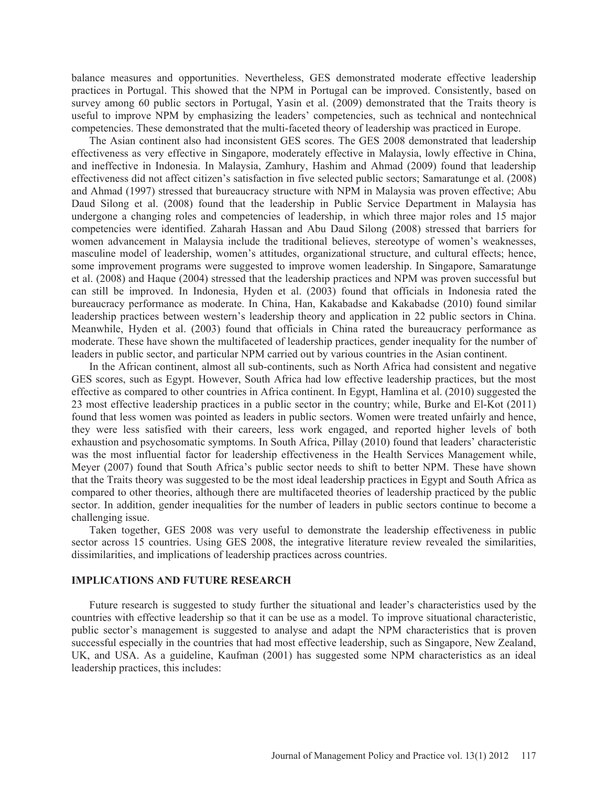balance measures and opportunities. Nevertheless, GES demonstrated moderate effective leadership practices in Portugal. This showed that the NPM in Portugal can be improved. Consistently, based on survey among 60 public sectors in Portugal, Yasin et al. (2009) demonstrated that the Traits theory is useful to improve NPM by emphasizing the leaders' competencies, such as technical and nontechnical competencies. These demonstrated that the multi-faceted theory of leadership was practiced in Europe.

The Asian continent also had inconsistent GES scores. The GES 2008 demonstrated that leadership effectiveness as very effective in Singapore, moderately effective in Malaysia, lowly effective in China, and ineffective in Indonesia. In Malaysia, Zamhury, Hashim and Ahmad (2009) found that leadership effectiveness did not affect citizen's satisfaction in five selected public sectors; Samaratunge et al. (2008) and Ahmad (1997) stressed that bureaucracy structure with NPM in Malaysia was proven effective; Abu Daud Silong et al. (2008) found that the leadership in Public Service Department in Malaysia has undergone a changing roles and competencies of leadership, in which three major roles and 15 major competencies were identified. Zaharah Hassan and Abu Daud Silong (2008) stressed that barriers for women advancement in Malaysia include the traditional believes, stereotype of women's weaknesses, masculine model of leadership, women's attitudes, organizational structure, and cultural effects; hence, some improvement programs were suggested to improve women leadership. In Singapore, Samaratunge et al. (2008) and Haque (2004) stressed that the leadership practices and NPM was proven successful but can still be improved. In Indonesia, Hyden et al. (2003) found that officials in Indonesia rated the bureaucracy performance as moderate. In China, Han, Kakabadse and Kakabadse (2010) found similar leadership practices between western's leadership theory and application in 22 public sectors in China. Meanwhile, Hyden et al. (2003) found that officials in China rated the bureaucracy performance as moderate. These have shown the multifaceted of leadership practices, gender inequality for the number of leaders in public sector, and particular NPM carried out by various countries in the Asian continent.

In the African continent, almost all sub-continents, such as North Africa had consistent and negative GES scores, such as Egypt. However, South Africa had low effective leadership practices, but the most effective as compared to other countries in Africa continent. In Egypt, Hamlina et al. (2010) suggested the 23 most effective leadership practices in a public sector in the country; while, Burke and El-Kot (2011) found that less women was pointed as leaders in public sectors. Women were treated unfairly and hence, they were less satisfied with their careers, less work engaged, and reported higher levels of both exhaustion and psychosomatic symptoms. In South Africa, Pillay (2010) found that leaders' characteristic was the most influential factor for leadership effectiveness in the Health Services Management while, Meyer (2007) found that South Africa's public sector needs to shift to better NPM. These have shown that the Traits theory was suggested to be the most ideal leadership practices in Egypt and South Africa as compared to other theories, although there are multifaceted theories of leadership practiced by the public sector. In addition, gender inequalities for the number of leaders in public sectors continue to become a challenging issue.

Taken together, GES 2008 was very useful to demonstrate the leadership effectiveness in public sector across 15 countries. Using GES 2008, the integrative literature review revealed the similarities, dissimilarities, and implications of leadership practices across countries.

### **IMPLICATIONS AND FUTURE RESEARCH**

Future research is suggested to study further the situational and leader's characteristics used by the countries with effective leadership so that it can be use as a model. To improve situational characteristic, public sector's management is suggested to analyse and adapt the NPM characteristics that is proven successful especially in the countries that had most effective leadership, such as Singapore, New Zealand, UK, and USA. As a guideline, Kaufman (2001) has suggested some NPM characteristics as an ideal leadership practices, this includes: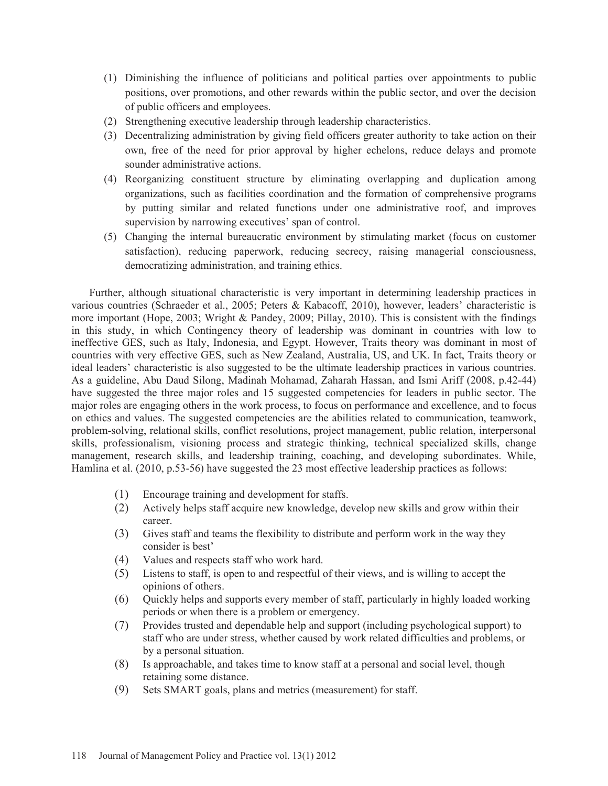- (1) Diminishing the influence of politicians and political parties over appointments to public positions, over promotions, and other rewards within the public sector, and over the decision of public officers and employees.
- (2) Strengthening executive leadership through leadership characteristics.
- (3) Decentralizing administration by giving field officers greater authority to take action on their own, free of the need for prior approval by higher echelons, reduce delays and promote sounder administrative actions.
- (4) Reorganizing constituent structure by eliminating overlapping and duplication among organizations, such as facilities coordination and the formation of comprehensive programs by putting similar and related functions under one administrative roof, and improves supervision by narrowing executives' span of control.
- (5) Changing the internal bureaucratic environment by stimulating market (focus on customer satisfaction), reducing paperwork, reducing secrecy, raising managerial consciousness, democratizing administration, and training ethics.

Further, although situational characteristic is very important in determining leadership practices in various countries (Schraeder et al., 2005; Peters & Kabacoff, 2010), however, leaders' characteristic is more important (Hope, 2003; Wright & Pandey, 2009; Pillay, 2010). This is consistent with the findings in this study, in which Contingency theory of leadership was dominant in countries with low to ineffective GES, such as Italy, Indonesia, and Egypt. However, Traits theory was dominant in most of countries with very effective GES, such as New Zealand, Australia, US, and UK. In fact, Traits theory or ideal leaders' characteristic is also suggested to be the ultimate leadership practices in various countries. As a guideline, Abu Daud Silong, Madinah Mohamad, Zaharah Hassan, and Ismi Ariff (2008, p.42-44) have suggested the three major roles and 15 suggested competencies for leaders in public sector. The major roles are engaging others in the work process, to focus on performance and excellence, and to focus on ethics and values. The suggested competencies are the abilities related to communication, teamwork, problem-solving, relational skills, conflict resolutions, project management, public relation, interpersonal skills, professionalism, visioning process and strategic thinking, technical specialized skills, change management, research skills, and leadership training, coaching, and developing subordinates. While, Hamlina et al. (2010, p.53-56) have suggested the 23 most effective leadership practices as follows:

- (1) Encourage training and development for staffs.
- (2) Actively helps staff acquire new knowledge, develop new skills and grow within their career.
- (3) Gives staff and teams the flexibility to distribute and perform work in the way they consider is best'
- (4) Values and respects staff who work hard.
- (5) Listens to staff, is open to and respectful of their views, and is willing to accept the opinions of others.
- (6) Quickly helps and supports every member of staff, particularly in highly loaded working periods or when there is a problem or emergency.
- (7) Provides trusted and dependable help and support (including psychological support) to staff who are under stress, whether caused by work related difficulties and problems, or by a personal situation.
- (8) Is approachable, and takes time to know staff at a personal and social level, though retaining some distance.
- (9) Sets SMART goals, plans and metrics (measurement) for staff.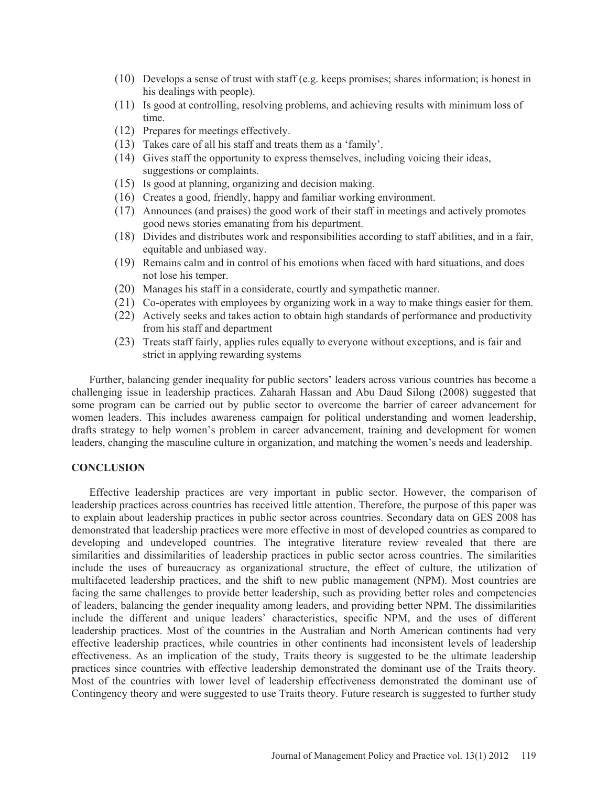- (10) Develops a sense of trust with staff (e.g. keeps promises; shares information; is honest in his dealings with people).
- (11) Is good at controlling, resolving problems, and achieving results with minimum loss of time.
- (12) Prepares for meetings effectively.
- (13) Takes care of all his staff and treats them as a 'family'.
- (14) Gives staff the opportunity to express themselves, including voicing their ideas, suggestions or complaints.
- (15) Is good at planning, organizing and decision making.
- (16) Creates a good, friendly, happy and familiar working environment.
- (17) Announces (and praises) the good work of their staff in meetings and actively promotes good news stories emanating from his department.
- (18) Divides and distributes work and responsibilities according to staff abilities, and in a fair, equitable and unbiased way.
- (19) Remains calm and in control of his emotions when faced with hard situations, and does not lose his temper.
- (20) Manages his staff in a considerate, courtly and sympathetic manner.
- (21) Co-operates with employees by organizing work in a way to make things easier for them.
- (22) Actively seeks and takes action to obtain high standards of performance and productivity from his staff and department
- (23) Treats staff fairly, applies rules equally to everyone without exceptions, and is fair and strict in applying rewarding systems

Further, balancing gender inequality for public sectors' leaders across various countries has become a challenging issue in leadership practices. Zaharah Hassan and Abu Daud Silong (2008) suggested that some program can be carried out by public sector to overcome the barrier of career advancement for women leaders. This includes awareness campaign for political understanding and women leadership, drafts strategy to help women's problem in career advancement, training and development for women leaders, changing the masculine culture in organization, and matching the women's needs and leadership.

#### **CONCLUSION**

Effective leadership practices are very important in public sector. However, the comparison of leadership practices across countries has received little attention. Therefore, the purpose of this paper was to explain about leadership practices in public sector across countries. Secondary data on GES 2008 has demonstrated that leadership practices were more effective in most of developed countries as compared to developing and undeveloped countries. The integrative literature review revealed that there are similarities and dissimilarities of leadership practices in public sector across countries. The similarities include the uses of bureaucracy as organizational structure, the effect of culture, the utilization of multifaceted leadership practices, and the shift to new public management (NPM). Most countries are facing the same challenges to provide better leadership, such as providing better roles and competencies of leaders, balancing the gender inequality among leaders, and providing better NPM. The dissimilarities include the different and unique leaders' characteristics, specific NPM, and the uses of different leadership practices. Most of the countries in the Australian and North American continents had very effective leadership practices, while countries in other continents had inconsistent levels of leadership effectiveness. As an implication of the study, Traits theory is suggested to be the ultimate leadership practices since countries with effective leadership demonstrated the dominant use of the Traits theory. Most of the countries with lower level of leadership effectiveness demonstrated the dominant use of Contingency theory and were suggested to use Traits theory. Future research is suggested to further study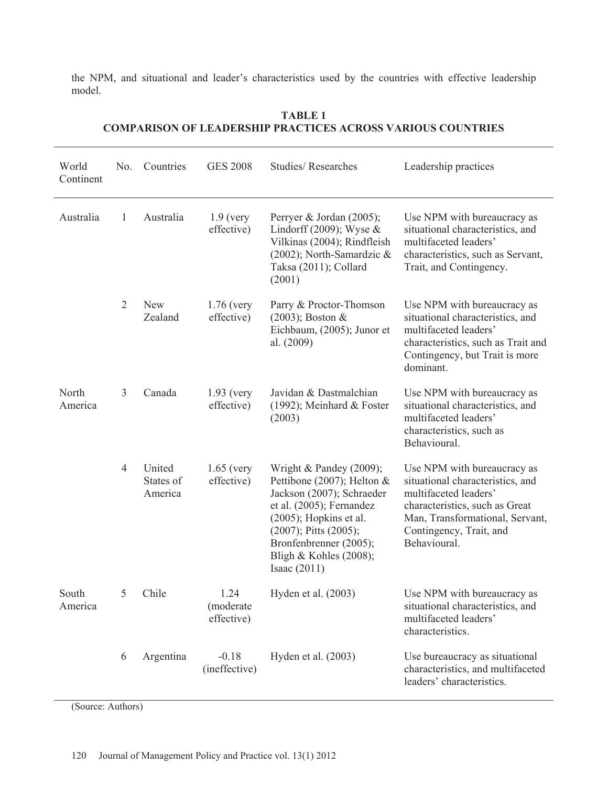the NPM, and situational and leader's characteristics used by the countries with effective leadership model.

| World<br>Continent | No.            | Countries                      | <b>GES 2008</b>                 | <b>Studies/Researches</b>                                                                                                                                                                                                                          | Leadership practices                                                                                                                                                                                     |
|--------------------|----------------|--------------------------------|---------------------------------|----------------------------------------------------------------------------------------------------------------------------------------------------------------------------------------------------------------------------------------------------|----------------------------------------------------------------------------------------------------------------------------------------------------------------------------------------------------------|
| Australia          | $\mathbf{1}$   | Australia                      | $1.9$ (very<br>effective)       | Perryer & Jordan (2005);<br>Lindorff (2009); Wyse $\&$<br>Vilkinas (2004); Rindfleish<br>$(2002)$ ; North-Samardzic &<br>Taksa (2011); Collard<br>(2001)                                                                                           | Use NPM with bureaucracy as<br>situational characteristics, and<br>multifaceted leaders'<br>characteristics, such as Servant,<br>Trait, and Contingency.                                                 |
|                    | $\overline{2}$ | <b>New</b><br>Zealand          | $1.76$ (very<br>effective)      | Parry & Proctor-Thomson<br>$(2003)$ ; Boston &<br>Eichbaum, (2005); Junor et<br>al. (2009)                                                                                                                                                         | Use NPM with bureaucracy as<br>situational characteristics, and<br>multifaceted leaders'<br>characteristics, such as Trait and<br>Contingency, but Trait is more<br>dominant.                            |
| North<br>America   | 3              | Canada                         | $1.93$ (very<br>effective)      | Javidan & Dastmalchian<br>$(1992)$ ; Meinhard & Foster<br>(2003)                                                                                                                                                                                   | Use NPM with bureaucracy as<br>situational characteristics, and<br>multifaceted leaders'<br>characteristics, such as<br>Behavioural.                                                                     |
|                    | $\overline{4}$ | United<br>States of<br>America | $1.65$ (very<br>effective)      | Wright & Pandey (2009);<br>Pettibone (2007); Helton $&$<br>Jackson (2007); Schraeder<br>et al. (2005); Fernandez<br>$(2005)$ ; Hopkins et al.<br>$(2007)$ ; Pitts $(2005)$ ;<br>Bronfenbrenner (2005);<br>Bligh & Kohles (2008);<br>Isaac $(2011)$ | Use NPM with bureaucracy as<br>situational characteristics, and<br>multifaceted leaders'<br>characteristics, such as Great<br>Man, Transformational, Servant,<br>Contingency, Trait, and<br>Behavioural. |
| South<br>America   | 5              | Chile                          | 1.24<br>(moderate<br>effective) | Hyden et al. $(2003)$                                                                                                                                                                                                                              | Use NPM with bureaucracy as<br>situational characteristics, and<br>multifaceted leaders'<br>characteristics.                                                                                             |
|                    | 6              | Argentina                      | $-0.18$<br>(ineffective)        | Hyden et al. (2003)                                                                                                                                                                                                                                | Use bureaucracy as situational<br>characteristics, and multifaceted<br>leaders' characteristics.                                                                                                         |

## **TABLE 1 COMPARISON OF LEADERSHIP PRACTICES ACROSS VARIOUS COUNTRIES**

(Source: Authors)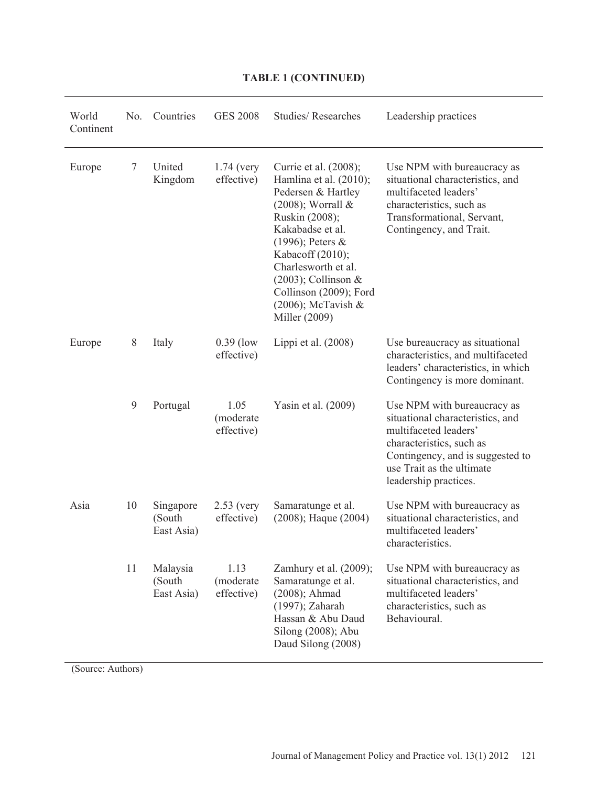| World<br>Continent | No. | Countries                         | <b>GES 2008</b>                 | <b>Studies/Researches</b>                                                                                                                                                                                                                                                                           | Leadership practices                                                                                                                                                                                           |
|--------------------|-----|-----------------------------------|---------------------------------|-----------------------------------------------------------------------------------------------------------------------------------------------------------------------------------------------------------------------------------------------------------------------------------------------------|----------------------------------------------------------------------------------------------------------------------------------------------------------------------------------------------------------------|
| Europe             | 7   | United<br>Kingdom                 | $1.74$ (very<br>effective)      | Currie et al. (2008);<br>Hamlina et al. (2010);<br>Pedersen & Hartley<br>$(2008)$ ; Worrall &<br>Ruskin (2008);<br>Kakabadse et al.<br>$(1996)$ ; Peters &<br>Kabacoff (2010);<br>Charlesworth et al.<br>$(2003)$ ; Collinson &<br>Collinson (2009); Ford<br>$(2006)$ ; McTavish &<br>Miller (2009) | Use NPM with bureaucracy as<br>situational characteristics, and<br>multifaceted leaders'<br>characteristics, such as<br>Transformational, Servant,<br>Contingency, and Trait.                                  |
| Europe             | 8   | Italy                             | $0.39$ (low<br>effective)       | Lippi et al. $(2008)$                                                                                                                                                                                                                                                                               | Use bureaucracy as situational<br>characteristics, and multifaceted<br>leaders' characteristics, in which<br>Contingency is more dominant.                                                                     |
|                    | 9   | Portugal                          | 1.05<br>(moderate<br>effective) | Yasin et al. (2009)                                                                                                                                                                                                                                                                                 | Use NPM with bureaucracy as<br>situational characteristics, and<br>multifaceted leaders'<br>characteristics, such as<br>Contingency, and is suggested to<br>use Trait as the ultimate<br>leadership practices. |
| Asia               | 10  | Singapore<br>(South<br>East Asia) | $2.53$ (very<br>effective)      | Samaratunge et al.<br>$(2008)$ ; Haque $(2004)$                                                                                                                                                                                                                                                     | Use NPM with bureaucracy as<br>situational characteristics, and<br>multifaceted leaders'<br>characteristics.                                                                                                   |
|                    | 11  | Malaysia<br>(South<br>East Asia)  | 1.13<br>(moderate<br>effective) | Zamhury et al. $(2009)$ ;<br>Samaratunge et al.<br>(2008); Ahmad<br>(1997); Zaharah<br>Hassan & Abu Daud<br>Silong (2008); Abu<br>Daud Silong (2008)                                                                                                                                                | Use NPM with bureaucracy as<br>situational characteristics, and<br>multifaceted leaders'<br>characteristics, such as<br>Behavioural.                                                                           |

# **TABLE 1 (CONTINUED)**

(Source: Authors)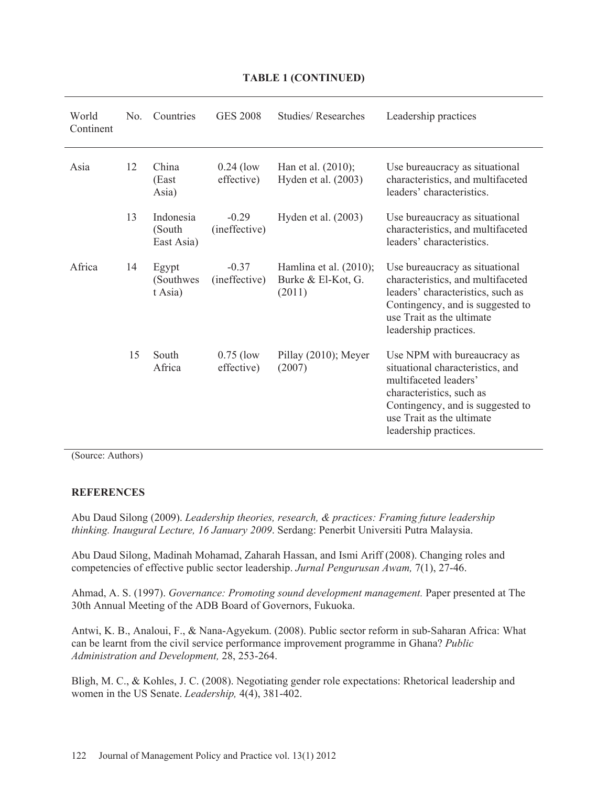| World<br>Continent | N <sub>0</sub> | Countries                         | <b>GES 2008</b>           | Studies/Researches                                        | Leadership practices                                                                                                                                                                                           |
|--------------------|----------------|-----------------------------------|---------------------------|-----------------------------------------------------------|----------------------------------------------------------------------------------------------------------------------------------------------------------------------------------------------------------------|
| Asia               | 12             | China<br>(East<br>Asia)           | $0.24$ (low<br>effective) | Han et al. $(2010)$ ;<br>Hyden et al. (2003)              | Use bureaucracy as situational<br>characteristics, and multifaceted<br>leaders' characteristics.                                                                                                               |
|                    | 13             | Indonesia<br>(South<br>East Asia) | $-0.29$<br>(ineffective)  | Hyden et al. $(2003)$                                     | Use bureaucracy as situational<br>characteristics, and multifaceted<br>leaders' characteristics.                                                                                                               |
| Africa             | 14             | Egypt<br>(Southwes)<br>t Asia)    | $-0.37$<br>(ineffective)  | Hamlina et al. $(2010)$ ;<br>Burke & El-Kot, G.<br>(2011) | Use bureaucracy as situational<br>characteristics, and multifaceted<br>leaders' characteristics, such as<br>Contingency, and is suggested to<br>use Trait as the ultimate<br>leadership practices.             |
|                    | 15             | South<br>Africa                   | $0.75$ (low<br>effective) | Pillay (2010); Meyer<br>(2007)                            | Use NPM with bureaucracy as<br>situational characteristics, and<br>multifaceted leaders'<br>characteristics, such as<br>Contingency, and is suggested to<br>use Trait as the ultimate<br>leadership practices. |

## **TABLE 1 (CONTINUED)**

(Source: Authors)

### **REFERENCES**

Abu Daud Silong (2009). *Leadership theories, research, & practices: Framing future leadership thinking. Inaugural Lecture, 16 January 2009*. Serdang: Penerbit Universiti Putra Malaysia.

Abu Daud Silong, Madinah Mohamad, Zaharah Hassan, and Ismi Ariff (2008). Changing roles and competencies of effective public sector leadership. *Jurnal Pengurusan Awam,* 7(1), 27-46.

Ahmad, A. S. (1997). *Governance: Promoting sound development management.* Paper presented at The 30th Annual Meeting of the ADB Board of Governors, Fukuoka.

Antwi, K. B., Analoui, F., & Nana-Agyekum. (2008). Public sector reform in sub-Saharan Africa: What can be learnt from the civil service performance improvement programme in Ghana? *Public Administration and Development,* 28, 253-264.

Bligh, M. C., & Kohles, J. C. (2008). Negotiating gender role expectations: Rhetorical leadership and women in the US Senate. *Leadership,* 4(4), 381-402.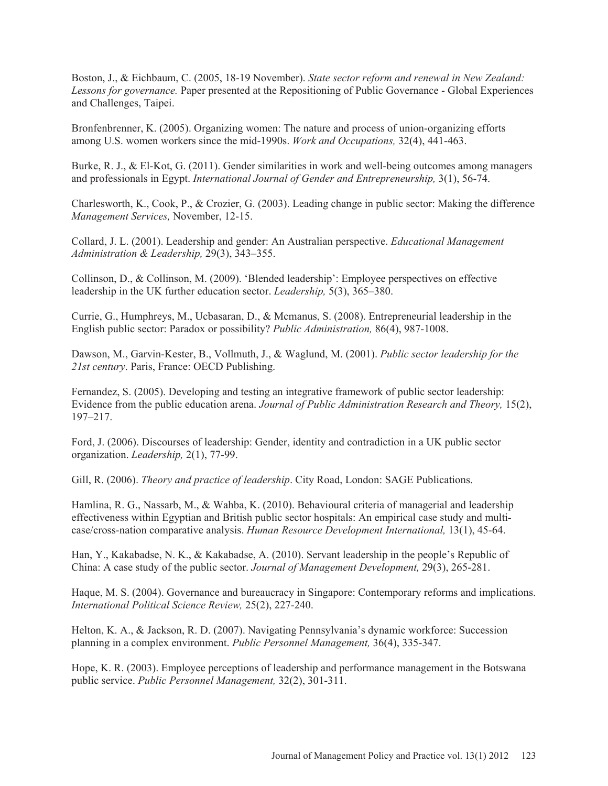Boston, J., & Eichbaum, C. (2005, 18-19 November). *State sector reform and renewal in New Zealand: Lessons for governance.* Paper presented at the Repositioning of Public Governance - Global Experiences and Challenges, Taipei.

Bronfenbrenner, K. (2005). Organizing women: The nature and process of union-organizing efforts among U.S. women workers since the mid-1990s. *Work and Occupations,* 32(4), 441-463.

Burke, R. J., & El-Kot, G. (2011). Gender similarities in work and well-being outcomes among managers and professionals in Egypt. *International Journal of Gender and Entrepreneurship,* 3(1), 56-74.

Charlesworth, K., Cook, P., & Crozier, G. (2003). Leading change in public sector: Making the difference *Management Services,* November, 12-15.

Collard, J. L. (2001). Leadership and gender: An Australian perspective. *Educational Management Administration & Leadership,* 29(3), 343–355.

Collinson, D., & Collinson, M. (2009). 'Blended leadership': Employee perspectives on effective leadership in the UK further education sector. *Leadership,* 5(3), 365–380.

Currie, G., Humphreys, M., Ucbasaran, D., & Mcmanus, S. (2008). Entrepreneurial leadership in the English public sector: Paradox or possibility? *Public Administration,* 86(4), 987-1008.

Dawson, M., Garvin-Kester, B., Vollmuth, J., & Waglund, M. (2001). *Public sector leadership for the 21st century*. Paris, France: OECD Publishing.

Fernandez, S. (2005). Developing and testing an integrative framework of public sector leadership: Evidence from the public education arena. *Journal of Public Administration Research and Theory,* 15(2), 197–217.

Ford, J. (2006). Discourses of leadership: Gender, identity and contradiction in a UK public sector organization. *Leadership,* 2(1), 77-99.

Gill, R. (2006). *Theory and practice of leadership*. City Road, London: SAGE Publications.

Hamlina, R. G., Nassarb, M., & Wahba, K. (2010). Behavioural criteria of managerial and leadership effectiveness within Egyptian and British public sector hospitals: An empirical case study and multicase/cross-nation comparative analysis. *Human Resource Development International,* 13(1), 45-64.

Han, Y., Kakabadse, N. K., & Kakabadse, A. (2010). Servant leadership in the people's Republic of China: A case study of the public sector. *Journal of Management Development,* 29(3), 265-281.

Haque, M. S. (2004). Governance and bureaucracy in Singapore: Contemporary reforms and implications. *International Political Science Review,* 25(2), 227-240.

Helton, K. A., & Jackson, R. D. (2007). Navigating Pennsylvania's dynamic workforce: Succession planning in a complex environment. *Public Personnel Management,* 36(4), 335-347.

Hope, K. R. (2003). Employee perceptions of leadership and performance management in the Botswana public service. *Public Personnel Management,* 32(2), 301-311.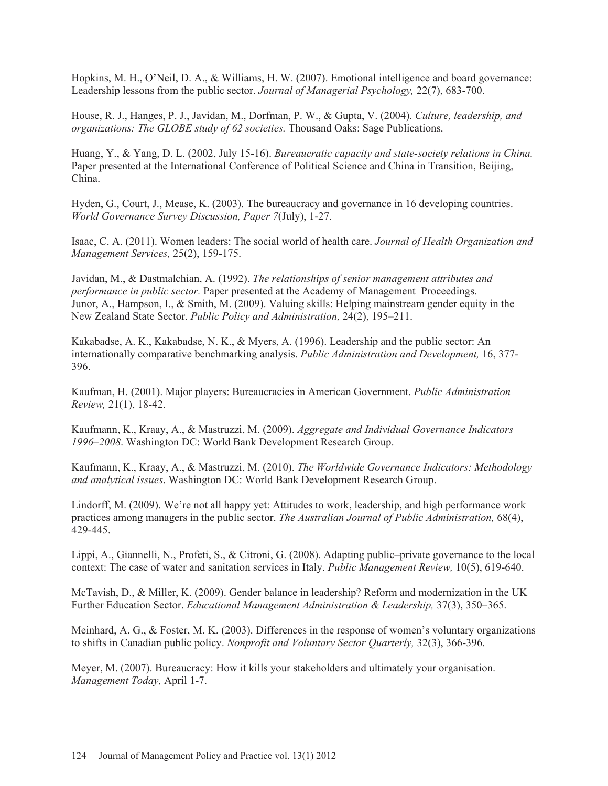Hopkins, M. H., O'Neil, D. A., & Williams, H. W. (2007). Emotional intelligence and board governance: Leadership lessons from the public sector. *Journal of Managerial Psychology,* 22(7), 683-700.

House, R. J., Hanges, P. J., Javidan, M., Dorfman, P. W., & Gupta, V. (2004). *Culture, leadership, and organizations: The GLOBE study of 62 societies.* Thousand Oaks: Sage Publications.

Huang, Y., & Yang, D. L. (2002, July 15-16). *Bureaucratic capacity and state-society relations in China.* Paper presented at the International Conference of Political Science and China in Transition, Beijing, China.

Hyden, G., Court, J., Mease, K. (2003). The bureaucracy and governance in 16 developing countries. *World Governance Survey Discussion, Paper 7*(July), 1-27.

Isaac, C. A. (2011). Women leaders: The social world of health care. *Journal of Health Organization and Management Services,* 25(2), 159-175.

Javidan, M., & Dastmalchian, A. (1992). *The relationships of senior management attributes and performance in public sector.* Paper presented at the Academy of Management Proceedings. Junor, A., Hampson, I., & Smith, M. (2009). Valuing skills: Helping mainstream gender equity in the New Zealand State Sector. *Public Policy and Administration,* 24(2), 195–211.

Kakabadse, A. K., Kakabadse, N. K., & Myers, A. (1996). Leadership and the public sector: An internationally comparative benchmarking analysis. *Public Administration and Development,* 16, 377- 396.

Kaufman, H. (2001). Major players: Bureaucracies in American Government. *Public Administration Review,* 21(1), 18-42.

Kaufmann, K., Kraay, A., & Mastruzzi, M. (2009). *Aggregate and Individual Governance Indicators 1996–2008*. Washington DC: World Bank Development Research Group.

Kaufmann, K., Kraay, A., & Mastruzzi, M. (2010). *The Worldwide Governance Indicators: Methodology and analytical issues*. Washington DC: World Bank Development Research Group.

Lindorff, M. (2009). We're not all happy yet: Attitudes to work, leadership, and high performance work practices among managers in the public sector. *The Australian Journal of Public Administration*, 68(4), 429-445.

Lippi, A., Giannelli, N., Profeti, S., & Citroni, G. (2008). Adapting public–private governance to the local context: The case of water and sanitation services in Italy. *Public Management Review,* 10(5), 619-640.

McTavish, D., & Miller, K. (2009). Gender balance in leadership? Reform and modernization in the UK Further Education Sector. *Educational Management Administration & Leadership,* 37(3), 350–365.

Meinhard, A. G., & Foster, M. K. (2003). Differences in the response of women's voluntary organizations to shifts in Canadian public policy. *Nonprofit and Voluntary Sector Quarterly,* 32(3), 366-396.

Meyer, M. (2007). Bureaucracy: How it kills your stakeholders and ultimately your organisation. *Management Today,* April 1-7.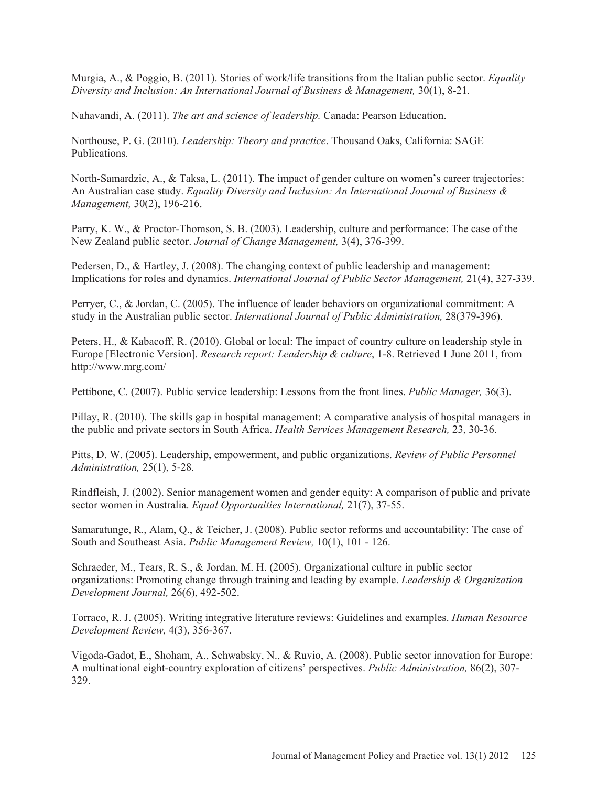Murgia, A., & Poggio, B. (2011). Stories of work/life transitions from the Italian public sector. *Equality Diversity and Inclusion: An International Journal of Business & Management,* 30(1), 8-21.

Nahavandi, A. (2011). *The art and science of leadership.* Canada: Pearson Education.

Northouse, P. G. (2010). *Leadership: Theory and practice*. Thousand Oaks, California: SAGE Publications.

North-Samardzic, A., & Taksa, L. (2011). The impact of gender culture on women's career trajectories: An Australian case study. *Equality Diversity and Inclusion: An International Journal of Business & Management,* 30(2), 196-216.

Parry, K. W., & Proctor-Thomson, S. B. (2003). Leadership, culture and performance: The case of the New Zealand public sector. *Journal of Change Management,* 3(4), 376-399.

Pedersen, D., & Hartley, J. (2008). The changing context of public leadership and management: Implications for roles and dynamics. *International Journal of Public Sector Management,* 21(4), 327-339.

Perryer, C., & Jordan, C. (2005). The influence of leader behaviors on organizational commitment: A study in the Australian public sector. *International Journal of Public Administration,* 28(379-396).

Peters, H., & Kabacoff, R. (2010). Global or local: The impact of country culture on leadership style in Europe [Electronic Version]. *Research report: Leadership & culture*, 1-8. Retrieved 1 June 2011, from http://www.mrg.com/

Pettibone, C. (2007). Public service leadership: Lessons from the front lines. *Public Manager,* 36(3).

Pillay, R. (2010). The skills gap in hospital management: A comparative analysis of hospital managers in the public and private sectors in South Africa. *Health Services Management Research,* 23, 30-36.

Pitts, D. W. (2005). Leadership, empowerment, and public organizations. *Review of Public Personnel Administration,* 25(1), 5-28.

Rindfleish, J. (2002). Senior management women and gender equity: A comparison of public and private sector women in Australia. *Equal Opportunities International,* 21(7), 37-55.

Samaratunge, R., Alam, Q., & Teicher, J. (2008). Public sector reforms and accountability: The case of South and Southeast Asia. *Public Management Review,* 10(1), 101 - 126.

Schraeder, M., Tears, R. S., & Jordan, M. H. (2005). Organizational culture in public sector organizations: Promoting change through training and leading by example. *Leadership & Organization Development Journal,* 26(6), 492-502.

Torraco, R. J. (2005). Writing integrative literature reviews: Guidelines and examples. *Human Resource Development Review,* 4(3), 356-367.

Vigoda-Gadot, E., Shoham, A., Schwabsky, N., & Ruvio, A. (2008). Public sector innovation for Europe: A multinational eight-country exploration of citizens' perspectives. *Public Administration,* 86(2), 307- 329.